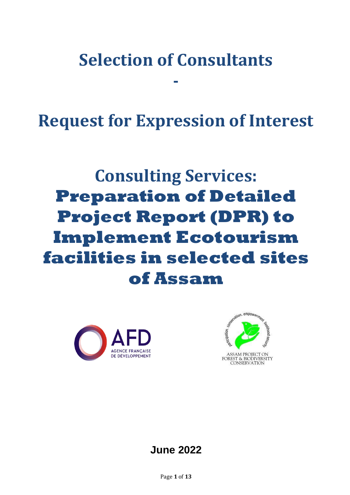# **Selection of Consultants**

**-**

**Request for Expression of Interest**

# **Consulting Services: Preparation of Detailed Project Report (DPR) to Implement Ecotourism facilities in selected sites of Assam**





# **June 2022**

Page **1** of **13**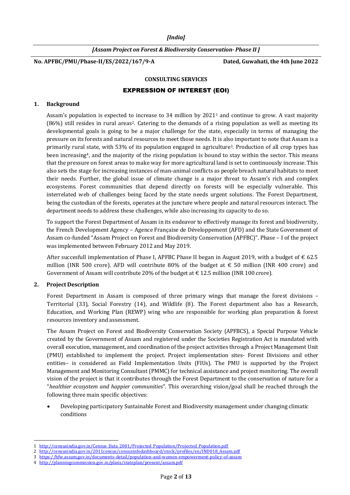*[India]*

*[Assam Project on Forest & Biodiversity Conservation- Phase II ]*

**No. APFBC/PMU/Phase-II/ES/2022/167/9-A Dated, Guwahati, the 4th June 2022**

#### **CONSULTING SERVICES**

#### EXPRESSION OF INTEREST (EOI)

#### **1. Background**

Assam's population is expected to increase to 34 million by 2021<sup>1</sup> and continue to grow. A vast majority (86%) still resides in rural areas2. Catering to the demands of a rising population as well as meeting its developmental goals is going to be a major challenge for the state, especially in terms of managing the pressure on its forests and natural resources to meet those needs. It is also important to note that Assam is a primarily rural state, with 53% of its population engaged in agriculture3. Production of all crop types has been increasing4, and the majority of the rising population is bound to stay within the sector. This means that the pressure on forest areas to make way for more agricultural land is set to continuously increase. This also sets the stage for increasing instances of man-animal conflicts as people breach natural habitats to meet their needs. Further, the global issue of climate change is a major threat to Assam's rich and complex ecosystems. Forest communities that depend directly on forests will be especially vulnerable. This interrelated web of challenges being faced by the state needs urgent solutions. The Forest Department, being the custodian of the forests, operates at the juncture where people and natural resources interact. The department needs to address these challenges, while also increasing its capacity to do so.

To support the Forest Department of Assam in its endeavor to effectively manage its forest and biodiversity, the French Development Agency – Agence Française de Développement (AFD) and the State Government of Assam co-funded "Assam Project on Forest and Biodiversity Conservation (APFBC)". Phase – I of the project was implemented between February 2012 and May 2019.

After succesfull implementation of Phase I, APFBC Phase II began in August 2019, with a budget of  $\epsilon$  62.5 million (INR 500 crore). AFD will contribute 80% of the budget at  $\epsilon$  50 million (INR 400 crore) and Government of Assam will contribute 20% of the budget at  $\epsilon$  12.5 million (INR 100 crore).

#### **2. Project Description**

Forest Department in Assam is composed of three primary wings that manage the forest divisions – Territorial (33), Social Forestry (14), and Wildlife (8). The Forest department also has a Research, Education, and Working Plan (REWP) wing who are responsible for working plan preparation & forest resources inventory and assessment.

The Assam Project on Forest and Biodiversity Conservation Society (APFBCS), a Special Purpose Vehicle created by the Government of Assam and registered under the Societies Registration Act is mandated with overall execution, management, and coordination of the project activities through a Project Management Unit (PMU) established to implement the project. Project implementation sites- Forest Divisions and other entities– is considered as Field Implementation Units (FIUs). The PMU is supported by the Project Management and Monitoring Consultant (PMMC) for technical assistance and project monitoring. The overall vision of the project is that it contributes through the Forest Department to the conservation of nature for a "*healthier ecosystem and happier communities*". This overarching vision/goal shall be reached through the following three main specific objectives:

 Developing participatory Sustainable Forest and Biodiversity management under changing climatic conditions

l 1 [http://censusindia.gov.in/Census\\_Data\\_2001/Projected\\_Population/Projected\\_Population.pdf](http://censusindia.gov.in/Census_Data_2001/Projected_Population/Projected_Population.pdf)

<sup>2</sup> [http://censusindia.gov.in/2011census/censusinfodashboard/stock/profiles/en/IND018\\_Assam.pdf](http://censusindia.gov.in/2011census/censusinfodashboard/stock/profiles/en/IND018_Assam.pdf)

<sup>3</sup> <https://hfw.assam.gov.in/documents-detail/population-and-women-empowerment-policy-of-assam>

<sup>4</sup> <http://planningcommission.gov.in/plans/stateplan/present/assam.pdf>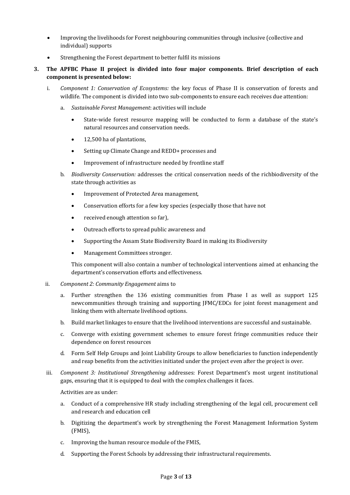- Improving the livelihoods for Forest neighbouring communities through inclusive (collective and individual) supports
- Strengthening the Forest department to better fulfil its missions
- **3. The APFBC Phase II project is divided into four major components. Brief description of each component is presented below:**
	- i. *Component 1: Conservation of Ecosystems:* the key focus of Phase II is conservation of forests and wildlife. The component is divided into two sub-components to ensure each receives due attention:
		- a. *Sustainable Forest Management*: activities will include
			- State-wide forest resource mapping will be conducted to form a database of the state's natural resources and conservation needs.
			- 12,500 ha of plantations,
			- Setting up Climate Change and REDD+ processes and
			- Improvement of infrastructure needed by frontline staff
		- b. *Biodiversity Conservation:* addresses the critical conservation needs of the richbiodiversity of the state through activities as
			- Improvement of Protected Area management,
			- Conservation efforts for a few key species (especially those that have not
			- received enough attention so far),
			- Outreach efforts to spread public awareness and
			- Supporting the Assam State Biodiversity Board in making its Biodiversity
			- Management Committees stronger.

This component will also contain a number of technological interventions aimed at enhancing the department's conservation efforts and effectiveness.

- ii. *Component 2: Community Engagement* aims to
	- Further strengthen the 136 existing communities from Phase I as well as support 125 newcommunities through training and supporting JFMC/EDCs for joint forest management and linking them with alternate livelihood options.
	- b. Build market linkages to ensure that the livelihood interventions are successful and sustainable.
	- c. Converge with existing government schemes to ensure forest fringe communities reduce their dependence on forest resources
	- d. Form Self Help Groups and Joint Liability Groups to allow beneficiaries to function independently and reap benefits from the activities initiated under the project even after the project is over.
- iii. *Component 3: Institutional Strengthening* addresses: Forest Department's most urgent institutional gaps, ensuring that it is equipped to deal with the complex challenges it faces.

Activities are as under:

- a. Conduct of a comprehensive HR study including strengthening of the legal cell, procurement cell and research and education cell
- b. Digitizing the department's work by strengthening the Forest Management Information System (FMIS),
- c. Improving the human resource module of the FMIS,
- d. Supporting the Forest Schools by addressing their infrastructural requirements.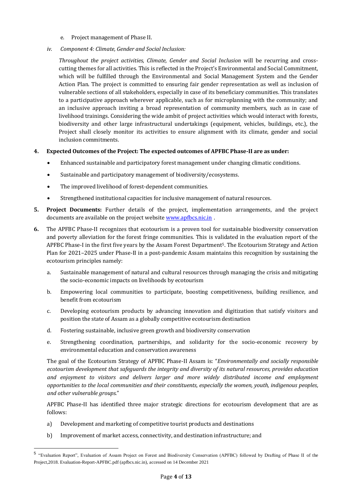- e. Project management of Phase II.
- *iv. Component 4: Climate, Gender and Social Inclusion:*

*Throughout the project activities, Climate, Gender and Social Inclusion* will be recurring and crosscutting themes for all activities. This is reflected in the Project's Environmental and Social Commitment, which will be fulfilled through the Environmental and Social Management System and the Gender Action Plan. The project is committed to ensuring fair gender representation as well as inclusion of vulnerable sections of all stakeholders, especially in case of its beneficiary communities. This translates to a participative approach wherever applicable, such as for microplanning with the community; and an inclusive approach inviting a broad representation of community members, such as in case of livelihood trainings. Considering the wide ambit of project activities which would interact with forests, biodiversity and other large infrastructural undertakings (equipment, vehicles, buildings, etc.), the Project shall closely monitor its activities to ensure alignment with its climate, gender and social inclusion commitments.

#### **4. Expected Outcomes of the Project: The expected outcomes of APFBC Phase-II are as under:**

- Enhanced sustainable and participatory forest management under changing climatic conditions.
- Sustainable and participatory management of biodiversity/ecosystems.
- The improved livelihood of forest-dependent communities.
- Strengthened institutional capacities for inclusive management of natural resources.
- **5. Project Documents:** Further details of the project, implementation arrangements, and the project documents are available on the project websit[e www.apfbcs.nic.in](http://www.apfbcs.nic.in/) .
- **6.** The APFBC Phase-II recognizes that ecotourism is a proven tool for sustainable biodiversity conservation and poverty alleviation for the forest fringe communities. This is validated in the evaluation report of the APFBC Phase-I in the first five years by the Assam Forest Department5. The Ecotourism Strategy and Action Plan for 2021–2025 under Phase-II in a post-pandemic Assam maintains this recognition by sustaining the ecotourism principles namely:
	- a. Sustainable management of natural and cultural resources through managing the crisis and mitigating the socio-economic impacts on livelihoods by ecotourism
	- b. Empowering local communities to participate, boosting competitiveness, building resilience, and benefit from ecotourism
	- c. Developing ecotourism products by advancing innovation and digitization that satisfy visitors and position the state of Assam as a globally competitive ecotourism destination
	- d. Fostering sustainable, inclusive green growth and biodiversity conservation
	- e. Strengthening coordination, partnerships, and solidarity for the socio-economic recovery by environmental education and conservation awareness

The goal of the Ecotourism Strategy of APFBC Phase-II Assam is: "*Environmentally and socially responsible ecotourism development that safeguards the integrity and diversity of its natural resources, provides education and enjoyment to visitors and delivers larger and more widely distributed income and employment opportunities to the local communities and their constituents, especially the women, youth, indigenous peoples, and other vulnerable groups*."

APFBC Phase-II has identified three major strategic directions for ecotourism development that are as follows:

a) Development and marketing of competitive tourist products and destinations

l

b) Improvement of market access, connectivity, and destination infrastructure; and

<sup>&</sup>lt;sup>5</sup> "Evaluation Report", Evaluation of Assam Project on Forest and Biodiversity Conservation (APFBC) followed by Drafting of Phase II of the Project,2018[. Evaluation-Report-APFBC.pdf \(apfbcs.nic.in\),](http://apfbcs.nic.in/phase-ii%20documents/Evaluation-Report-APFBC.pdf) accessed on 14 December 2021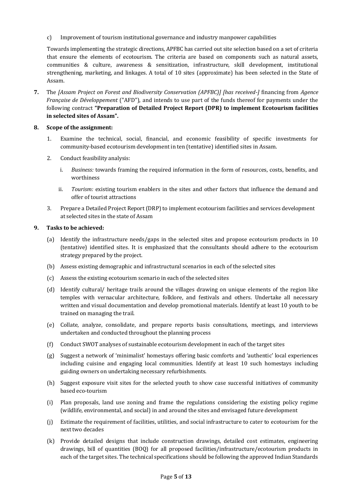c) Improvement of tourism institutional governance and industry manpower capabilities

Towards implementing the strategic directions, APFBC has carried out site selection based on a set of criteria that ensure the elements of ecotourism. The criteria are based on components such as natural assets, communities & culture, awareness & sensitization, infrastructure, skill development, institutional strengthening, marketing, and linkages. A total of 10 sites (approximate) has been selected in the State of Assam.

**7.** The *[Assam Project on Forest and Biodiversity Conservation (APFBC)] [has received-]* financing from *Agence Française de Développement* ("AFD"), and intends to use part of the funds thereof for payments under the following contract **"Preparation of Detailed Project Report (DPR) to implement Ecotourism facilities in selected sites of Assam".**

#### **8. Scope of the assignment:**

- 1. Examine the technical, social, financial, and economic feasibility of specific investments for community-based ecotourism development in ten (tentative) identified sites in Assam.
- 2. Conduct feasibility analysis:
	- i. *Business:* towards framing the required information in the form of resources, costs, benefits, and worthiness
	- ii. *Tourism:* existing tourism enablers in the sites and other factors that influence the demand and offer of tourist attractions
- 3. Prepare a Detailed Project Report (DRP) to implement ecotourism facilities and services development at selected sites in the state of Assam

#### **9. Tasks to be achieved:**

- (a) Identify the infrastructure needs/gaps in the selected sites and propose ecotourism products in 10 (tentative) identified sites. It is emphasized that the consultants should adhere to the ecotourism strategy prepared by the project.
- (b) Assess existing demographic and infrastructural scenarios in each of the selected sites
- (c) Assess the existing ecotourism scenario in each of the selected sites
- (d) Identify cultural/ heritage trails around the villages drawing on unique elements of the region like temples with vernacular architecture, folklore, and festivals and others. Undertake all necessary written and visual documentation and develop promotional materials. Identify at least 10 youth to be trained on managing the trail.
- (e) Collate, analyze, consolidate, and prepare reports basis consultations, meetings, and interviews undertaken and conducted throughout the planning process
- (f) Conduct SWOT analyses of sustainable ecotourism development in each of the target sites
- (g) Suggest a network of 'minimalist' homestays offering basic comforts and 'authentic' local experiences including cuisine and engaging local communities. Identify at least 10 such homestays including guiding owners on undertaking necessary refurbishments.
- (h) Suggest exposure visit sites for the selected youth to show case successful initiatives of community based eco-tourism
- (i) Plan proposals, land use zoning and frame the regulations considering the existing policy regime (wildlife, environmental, and social) in and around the sites and envisaged future development
- (j) Estimate the requirement of facilities, utilities, and social infrastructure to cater to ecotourism for the next two decades
- (k) Provide detailed designs that include construction drawings, detailed cost estimates, engineering drawings, bill of quantities (BOQ) for all proposed facilities/infrastructure/ecotourism products in each of the target sites. The technical specifications should be following the approved Indian Standards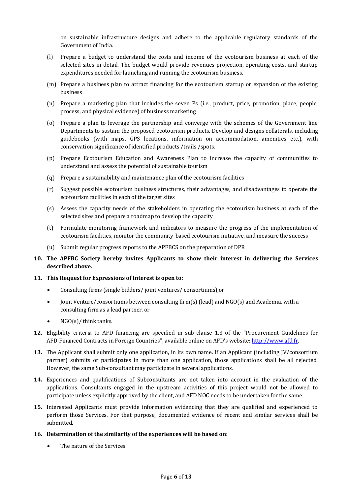on sustainable infrastructure designs and adhere to the applicable regulatory standards of the Government of India.

- (l) Prepare a budget to understand the costs and income of the ecotourism business at each of the selected sites in detail. The budget would provide revenues projection, operating costs, and startup expenditures needed for launching and running the ecotourism business.
- (m) Prepare a business plan to attract financing for the ecotourism startup or expansion of the existing business
- (n) Prepare a marketing plan that includes the seven Ps (i.e., product, price, promotion, place, people, process, and physical evidence) of business marketing
- (o) Prepare a plan to leverage the partnership and converge with the schemes of the Government line Departments to sustain the proposed ecotourism products. Develop and designs collaterals, including guidebooks (with maps, GPS locations, information on accommodation, amenities etc.), with conservation significance of identified products /trails /spots.
- (p) Prepare Ecotourism Education and Awareness Plan to increase the capacity of communities to understand and assess the potential of sustainable tourism
- (q) Prepare a sustainability and maintenance plan of the ecotourism facilities
- (r) Suggest possible ecotourism business structures, their advantages, and disadvantages to operate the ecotourism facilities in each of the target sites
- (s) Assess the capacity needs of the stakeholders in operating the ecotourism business at each of the selected sites and prepare a roadmap to develop the capacity
- (t) Formulate monitoring framework and indicators to measure the progress of the implementation of ecotourism facilities, monitor the community-based ecotourism initiative, and measure the success
- (u) Submit regular progress reports to the APFBCS on the preparation of DPR
- **10. The APFBC Society hereby invites Applicants to show their interest in delivering the Services described above.**

#### **11. This Request for Expressions of Interest is open to:**

- Consulting firms (single bidders/ joint ventures/ consortiums),or
- Joint Venture/consortiums between consulting firm(s) (lead) and NGO(s) and Academia, with a consulting firm as a lead partner, or
- $\bullet$  NGO(s)/ think tanks.
- **12.** Eligibility criteria to AFD financing are specified in sub-clause 1.3 of the "Procurement Guidelines for AFD-Financed Contracts in Foreign Countries", available online on AFD's website: [http://www.afd.fr.](http://www.afd.fr/)
- **13.** The Applicant shall submit only one application, in its own name. If an Applicant (including JV/consortium partner) submits or participates in more than one application, those applications shall be all rejected. However, the same Sub-consultant may participate in several applications.
- **14.** Experiences and qualifications of Subconsultants are not taken into account in the evaluation of the applications. Consultants engaged in the upstream activities of this project would not be allowed to participate unless explicitly approved by the client, and AFD NOC needs to be undertaken for the same.
- **15.** Interested Applicants must provide information evidencing that they are qualified and experienced to perform those Services. For that purpose, documented evidence of recent and similar services shall be submitted.
- **16. Determination of the similarity of the experiences will be based on:**
	- The nature of the Services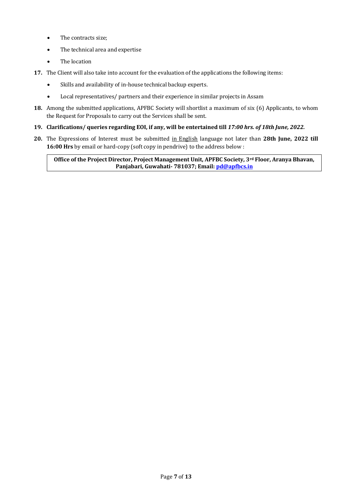- The contracts size;
- The technical area and expertise
- The location
- **17.** The Client will also take into account for the evaluation of the applications the following items:
	- Skills and availability of in-house technical backup experts.
	- Local representatives/ partners and their experience in similar projects in Assam
- **18.** Among the submitted applications, APFBC Society will shortlist a maximum of six (6) Applicants, to whom the Request for Proposals to carry out the Services shall be sent.
- **19. Clarifications/ queries regarding EOI, if any, will be entertained till** *17:00 hrs. of 18th June, 2022.*
- **20.** The Expressions of Interest must be submitted in English language not later than **28th June, 2022 till 16:00 Hrs** by email or hard-copy (soft copy in pendrive) to the address below :

**Office of the Project Director, Project Management Unit, APFBC Society, 3rd Floor, Aranya Bhavan, Panjabari, Guwahati- 781037; Email[: pd@apfbcs.in](mailto:pd@apfbcs.in)**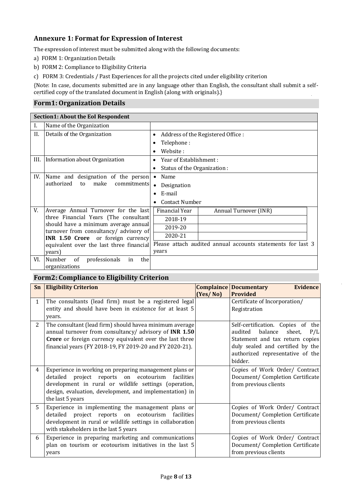# **Annexure 1: Format for Expression of Interest**

The expression of interest must be submitted along with the following documents:

- a) FORM 1: Organization Details
- b) FORM 2: Compliance to Eligibility Criteria
- c) FORM 3: Credentials / Past Experiences for all the projects cited under eligibility criterion

{Note: In case, documents submitted are in any language other than English, the consultant shall submit a selfcertified copy of the translated document in English (along with originals).}

### **Form1: Organization Details**

| Section1: About the EoI Respondent |                                                                                |                                                             |  |
|------------------------------------|--------------------------------------------------------------------------------|-------------------------------------------------------------|--|
| Ι.                                 | Name of the Organization                                                       |                                                             |  |
| Н.                                 | Details of the Organization                                                    | Address of the Registered Office :<br>٠                     |  |
|                                    |                                                                                | Telephone:                                                  |  |
|                                    |                                                                                | Website:<br>٠                                               |  |
| III.                               | Information about Organization                                                 | Year of Establishment:<br>٠                                 |  |
|                                    |                                                                                | Status of the Organization:                                 |  |
| IV.                                | Name and designation of the person                                             | Name<br>$\bullet$                                           |  |
|                                    | authorized<br>commitments<br>to<br>make                                        | Designation<br>$\bullet$                                    |  |
|                                    |                                                                                | E-mail<br>$\bullet$                                         |  |
|                                    |                                                                                | Contact Number<br>$\bullet$                                 |  |
| V.                                 | Average Annual Turnover for the last                                           | Financial Year<br>Annual Turnover (INR)                     |  |
|                                    | three Financial Years (The consultant                                          | 2018-19                                                     |  |
|                                    | should have a minimum average annual<br>turnover from consultancy/ advisory of | 2019-20                                                     |  |
|                                    | <b>INR 1.50 Crore</b> or foreign currency                                      | 2020-21                                                     |  |
|                                    | equivalent over the last three financial                                       | Please attach audited annual accounts statements for last 3 |  |
|                                    | years)                                                                         | years                                                       |  |
| VI.                                | professionals<br>Number<br><sub>of</sub><br>the<br>in<br>organizations         |                                                             |  |

# **Form2: Compliance to Eligibility Criterion**

| Sn           | <b>Eligibility Criterion</b>                                                                                                                                                                                                                           | (Yes/No) | <b>Complaince Documentary</b><br><b>Evidence</b><br><b>Provided</b>                                                                                                                            |
|--------------|--------------------------------------------------------------------------------------------------------------------------------------------------------------------------------------------------------------------------------------------------------|----------|------------------------------------------------------------------------------------------------------------------------------------------------------------------------------------------------|
| $\mathbf{1}$ | The consultants (lead firm) must be a registered legal<br>entity and should have been in existence for at least 5<br>years.                                                                                                                            |          | Certificate of Incorporation/<br>Registration                                                                                                                                                  |
| 2            | The consultant (lead firm) should havea minimum average<br>annual turnover from consultancy/ advisory of INR 1.50<br>Crore or foreign currency equivalent over the last three<br>financial years (FY 2018-19, FY 2019-20 and FY 2020-21).              |          | Self-certification. Copies of the<br>balance<br>audited<br>sheet,<br>P/L<br>Statement and tax return copies<br>duly sealed and certified by the<br>authorized representative of the<br>bidder. |
| 4            | Experience in working on preparing management plans or<br>detailed project reports on ecotourism<br>facilities<br>development in rural or wildlife settings (operation,<br>design, evaluation, development, and implementation) in<br>the last 5 years |          | Copies of Work Order/ Contract<br>Document/ Completion Certificate<br>from previous clients                                                                                                    |
| 5.           | Experience in implementing the management plans or<br>detailed project reports on ecotourism<br>facilities<br>development in rural or wildlife settings in collaboration<br>with stakeholders in the last 5 years                                      |          | Copies of Work Order/ Contract<br>Document/ Completion Certificate<br>from previous clients                                                                                                    |
| 6            | Experience in preparing marketing and communications<br>plan on tourism or ecotourism initiatives in the last 5<br>years                                                                                                                               |          | Copies of Work Order/ Contract<br>Document/ Completion Certificate<br>from previous clients                                                                                                    |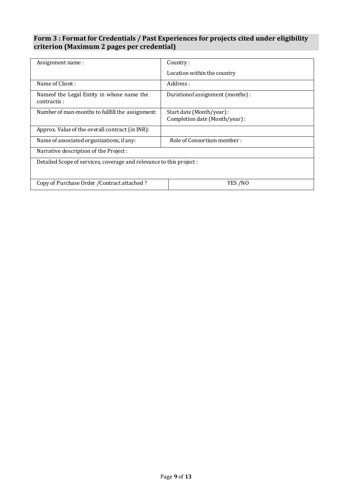## **Form 3 : Format for Credentials / Past Experiences for projects cited under eligibility criterion (Maximum 2 pages per credential)**

| Assignment name:                                                     | Country:                                                   |  |  |
|----------------------------------------------------------------------|------------------------------------------------------------|--|--|
|                                                                      | Location within the country                                |  |  |
| Name of Client:                                                      | Address :                                                  |  |  |
| Name of the Legal Entity in whose name the<br>contractis:            | Duration of assignment (months) :                          |  |  |
| Number of man-months to fullfill the assignment:                     | Start date (Month/year) :<br>Completion date (Month/year): |  |  |
| Approx. Value of the overall contract (in INR):                      |                                                            |  |  |
| Name of associated organizations, if any:                            | Role of Consortium member:                                 |  |  |
| Narrative description of the Project :                               |                                                            |  |  |
| Detailed Scope of services, coverage and relevance to this project : |                                                            |  |  |
| Copy of Purchase Order / Contract attached ?                         | YES /NO                                                    |  |  |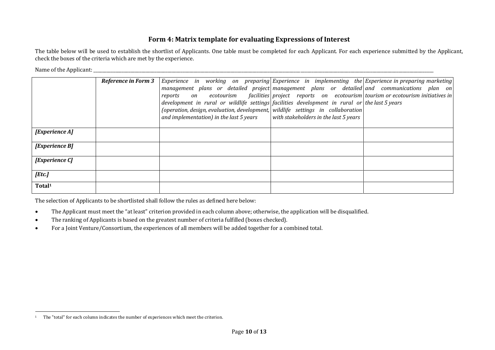## **Form 4: Matrix template for evaluating Expressions of Interest**

The table below will be used to establish the shortlist of Applicants. One table must be completed for each Applicant. For each experience submitted by the Applicant, check the boxes of the criteria which are met by the experience.

Name of the Applicant: \_\_\_\_\_\_\_\_\_\_\_\_\_\_\_\_\_\_\_\_\_\_\_\_\_\_\_\_\_\_\_\_\_\_\_\_\_\_\_\_\_\_\_\_\_\_\_\_\_\_\_\_\_\_\_\_\_\_\_\_\_\_\_\_\_\_\_\_\_\_\_\_\_\_\_\_\_\_\_\_\_\_\_\_\_\_\_\_\_\_\_\_\_\_\_\_\_\_\_\_\_\_\_\_\_\_\_\_\_\_\_\_\_\_\_\_\_\_\_\_\_\_\_\_\_\_\_\_\_\_\_\_\_\_\_\_\_\_\_\_\_\_\_\_\_\_\_\_\_\_\_\_\_\_\_\_

l

|                    | <b>Reference in Form 3</b> | Experience in working on preparing  Experience in implementing the Experience in preparing marketing<br>management plans or detailed project management plans or detailed and communications plan on<br>reports<br>development in rural or wildlife settings facilities development in rural or the last 5 years<br>(operation, design, evaluation, development, wildlife settings in collaboration<br>and implementation) in the last 5 years | on ecotourism facilities project reports on ecotourism tourism or ecotourism initiatives in<br>with stakeholders in the last $5$ years |  |
|--------------------|----------------------------|------------------------------------------------------------------------------------------------------------------------------------------------------------------------------------------------------------------------------------------------------------------------------------------------------------------------------------------------------------------------------------------------------------------------------------------------|----------------------------------------------------------------------------------------------------------------------------------------|--|
| [Experience A]     |                            |                                                                                                                                                                                                                                                                                                                                                                                                                                                |                                                                                                                                        |  |
| [Experience B]     |                            |                                                                                                                                                                                                                                                                                                                                                                                                                                                |                                                                                                                                        |  |
| [Experience C]     |                            |                                                                                                                                                                                                                                                                                                                                                                                                                                                |                                                                                                                                        |  |
| [Etc.]             |                            |                                                                                                                                                                                                                                                                                                                                                                                                                                                |                                                                                                                                        |  |
| Total <sup>1</sup> |                            |                                                                                                                                                                                                                                                                                                                                                                                                                                                |                                                                                                                                        |  |

The selection of Applicants to be shortlisted shall follow the rules as defined here below:

- The Applicant must meet the "at least" criterion provided in each column above; otherwise, the application will be disqualified.
- The ranking of Applicants is based on the greatest number of criteria fulfilled (boxes checked).
- For a Joint Venture/Consortium, the experiences of all members will be added together for a combined total.

<sup>&</sup>lt;sup>1</sup> The "total" for each column indicates the number of experiences which meet the criterion.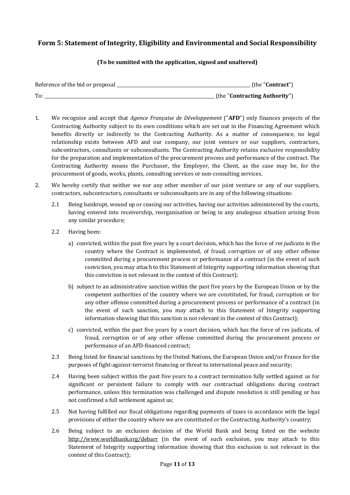# **Form 5: Statement of Integrity, Eligibility and Environmental and Social Responsibility**

#### **(To be sumitted with the application, signed and unaltered)**

| Reference of the bid or proposal | (the " <b>Contract"</b> )     |
|----------------------------------|-------------------------------|
| To.                              | (the "Contracting Authority") |

- 1. We recognise and accept that *Agence Française de Développement* ("**AFD**") only finances projects of the Contracting Authority subject to its own conditions which are set out in the Financing Agreement which benefits directly or indirectly to the Contracting Authority. As a matter of consequence, no legal relationship exists between AFD and our company, our joint venture or our suppliers, contractors, subcontractors, consultants or subconsultants. The Contracting Authority retains exclusive responsibility for the preparation and implementation of the procurement process and performance of the contract. The Contracting Authority means the Purchaser, the Employer, the Client, as the case may be, for the procurement of goods, works, plants, consulting services or non-consulting services.
- 2. We hereby certify that neither we nor any other member of our joint venture or any of our suppliers, contractors, subcontractors, consultants or subconsultants are in any of the following situations:
	- 2.1 Being bankrupt, wound up or ceasing our activities, having our activities administered by the courts, having entered into receivership, reorganisation or being in any analogous situation arising from any similar procedure;
	- 2.2 Having been:
		- a) convicted, within the past five years by a court decision, which has the force of *res judicata i*n the country where the Contract is implemented, of fraud, corruption or of any other offense committed during a procurement process or performance of a contract (in the event of such conviction, you may attach to this Statement of Integrity supporting information showing that this conviction is not relevant in the context of this Contract);
		- b) subject to an administrative sanction within the past five years by the European Union or by the competent authorities of the country where we are constituted, for fraud, corruption or for any other offense committed during a procurement process or performance of a contract (in the event of such sanction, you may attach to this Statement of Integrity supporting information showing that this sanction is not relevant in the context of this Contract);
		- c) convicted, within the past five years by a court decision, which has the force of res judicata, of fraud, corruption or of any other offense committed during the procurement process or performance of an AFD-financed contract;
	- 2.3 Being listed for financial sanctions by the United Nations, the European Union and/or France for the purposes of fight-against-terrorist financing or threat to international peace and security;
	- 2.4 Having been subject within the past five years to a contract termination fully settled against us for significant or persistent failure to comply with our contractual obligations during contract performance, unless this termination was challenged and dispute resolution is still pending or has not confirmed a full settlement against us;
	- 2.5 Not having fulfilled our fiscal obligations regarding payments of taxes in accordance with the legal provisions of either the country where we are constituted or the Contracting Authority's country;
	- 2.6 Being subject to an exclusion decision of the World Bank and being listed on the website <http://www.worldbank.org/debarr> (in the event of such exclusion, you may attach to this Statement of Integrity supporting information showing that this exclusion is not relevant in the context of this Contract);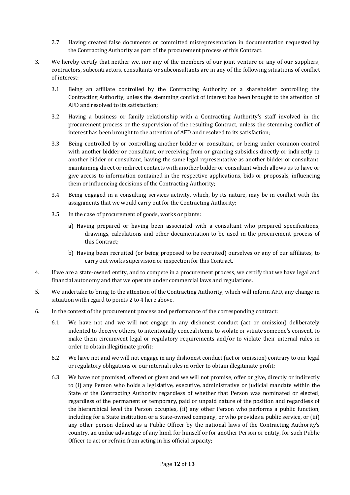- 2.7 Having created false documents or committed misrepresentation in documentation requested by the Contracting Authority as part of the procurement process of this Contract.
- 3. We hereby certify that neither we, nor any of the members of our joint venture or any of our suppliers, contractors, subcontractors, consultants or subconsultants are in any of the following situations of conflict of interest:
	- 3.1 Being an affiliate controlled by the Contracting Authority or a shareholder controlling the Contracting Authority, unless the stemming conflict of interest has been brought to the attention of AFD and resolved to its satisfaction;
	- 3.2 Having a business or family relationship with a Contracting Authority's staff involved in the procurement process or the supervision of the resulting Contract, unless the stemming conflict of interest has been brought to the attention of AFD and resolved to its satisfaction;
	- 3.3 Being controlled by or controlling another bidder or consultant, or being under common control with another bidder or consultant, or receiving from or granting subsidies directly or indirectly to another bidder or consultant, having the same legal representative as another bidder or consultant, maintaining direct or indirect contacts with another bidder or consultant which allows us to have or give access to information contained in the respective applications, bids or proposals, influencing them or influencing decisions of the Contracting Authority;
	- 3.4 Being engaged in a consulting services activity, which, by its nature, may be in conflict with the assignments that we would carry out for the Contracting Authority;
	- 3.5 In the case of procurement of goods, works or plants:
		- a) Having prepared or having been associated with a consultant who prepared specifications, drawings, calculations and other documentation to be used in the procurement process of this Contract;
		- b) Having been recruited (or being proposed to be recruited) ourselves or any of our affiliates, to carry out works supervision or inspection for this Contract.
- 4. If we are a state-owned entity, and to compete in a procurement process, we certify that we have legal and financial autonomy and that we operate under commercial laws and regulations.
- 5. We undertake to bring to the attention of the Contracting Authority, which will inform AFD, any change in situation with regard to points 2 to 4 here above.
- 6. In the context of the procurement process and performance of the corresponding contract:
	- 6.1 We have not and we will not engage in any dishonest conduct (act or omission) deliberately indented to deceive others, to intentionally conceal items, to violate or vitiate someone's consent, to make them circumvent legal or regulatory requirements and/or to violate their internal rules in order to obtain illegitimate profit;
	- 6.2 We have not and we will not engage in any dishonest conduct (act or omission) contrary to our legal or regulatory obligations or our internal rules in order to obtain illegitimate profit;
	- 6.3 We have not promised, offered or given and we will not promise, offer or give, directly or indirectly to (i) any Person who holds a legislative, executive, administrative or judicial mandate within the State of the Contracting Authority regardless of whether that Person was nominated or elected, regardless of the permanent or temporary, paid or unpaid nature of the position and regardless of the hierarchical level the Person occupies, (ii) any other Person who performs a public function, including for a State institution or a State-owned company, or who provides a public service, or (iii) any other person defined as a Public Officer by the national laws of the Contracting Authority's country, an undue advantage of any kind, for himself or for another Person or entity, for such Public Officer to act or refrain from acting in his official capacity;